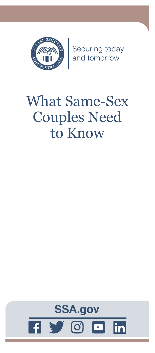

Securing today<br>and tomorrow

# What Same-Sex Couples Need to Know

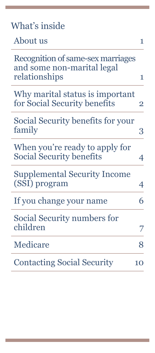| What's inside                                                                    |                |
|----------------------------------------------------------------------------------|----------------|
| About us                                                                         | 1              |
| Recognition of same-sex marriages<br>and some non-marital legal<br>relationships | 1              |
| Why marital status is important<br>for Social Security benefits                  | $\overline{2}$ |
| Social Security benefits for your<br>family                                      | 3              |
| When you're ready to apply for<br><b>Social Security benefits</b>                | 4              |
| <b>Supplemental Security Income</b><br>(SSI) program                             | 4              |
| If you change your name                                                          | 6              |
| Social Security numbers for<br>children                                          | 7              |
| Medicare                                                                         | 8              |
| <b>Contacting Social Security</b>                                                | 10             |

I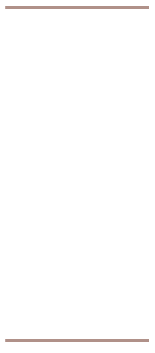$\mathbb{R}^n$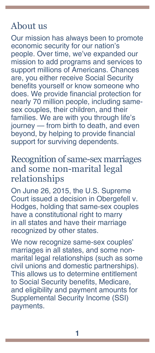# <span id="page-4-0"></span>About us

Our mission has always been to promote economic security for our nation's people. Over time, we've expanded our mission to add programs and services to support millions of Americans. Chances are, you either receive Social Security benefits yourself or know someone who does. We provide financial protection for nearly 70 million people, including samesex couples, their children, and their families. We are with you through life's journey — from birth to death, and even beyond, by helping to provide financial support for surviving dependents.

## Recognition of same-sex marriages and some non-marital legal relationships

On June 26, 2015, the U.S. Supreme Court issued a decision in Obergefell v. Hodges, holding that same-sex couples have a constitutional right to marry in all states and have their marriage recognized by other states.

We now recognize same-sex couples' marriages in all states, and some nonmarital legal relationships (such as some civil unions and domestic partnerships). This allows us to determine entitlement to Social Security benefits, Medicare, and eligibility and payment amounts for Supplemental Security Income (SSI) payments.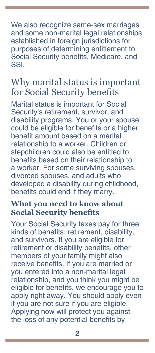<span id="page-5-0"></span>We also recognize same-sex marriages and some non-marital legal relationships established in foreign jurisdictions for purposes of determining entitlement to Social Security benefits, Medicare, and SSI.

# Why marital status is important for Social Security benefits

Marital status is important for Social Security's retirement, survivor, and disability programs. You or your spouse could be eligible for benefits or a higher benefit amount based on a marital relationship to a worker. Children or stepchildren could also be entitled to benefits based on their relationship to a worker. For some surviving spouses, divorced spouses, and adults who developed a disability during childhood, benefits could end if they marry.

#### **What you need to know about Social Security benefits**

Your Social Security taxes pay for three kinds of benefits: retirement, disability, and survivors. If you are eligible for retirement or disability benefits, other members of your family might also receive benefits. If you are married or you entered into a non-marital legal relationship, and you think you might be eligible for benefits, we encourage you to apply right away. You should apply even if you are not sure if you are eligible. Applying now will protect you against the loss of any potential benefits by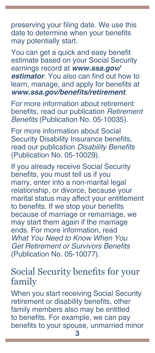<span id="page-6-0"></span>preserving your filing date. We use this date to determine when your benefits may potentially start.

You can get a quick and easy benefit estimate based on your Social Security earnings record at *[www.ssa.gov/](https://www.ssa.gov/estimator) [estimator](https://www.ssa.gov/estimator)*. You also can find out how to learn, manage, and apply for benefits at **[www.ssa.gov/benefits/retirement](https://www.ssa.gov/benefits/retirement/)**.

For more information about retirement benefits, read our publication *[Retirement](https://www.ssa.gov/pubs/EN-05-10035.pdf)*  Benefits [\(Publication No. 05-10035\)](https://www.ssa.gov/pubs/EN-05-10035.pdf).

For more information about Social Security Disability Insurance benefits, read our publication [Disability Benefits](https://www.ssa.gov/pubs/EN-05-10029.pdf) [\(Publication No. 05-10029\)](https://www.ssa.gov/pubs/EN-05-10029.pdf).

If you already receive Social Security benefits, you must tell us if you marry, enter into a non-marital legal relationship, or divorce, because your marital status may affect your entitlement to benefits. If we stop your benefits because of marriage or remarriage, we may start them again if the marriage ends. For more information, read [What You Need to Know When You](https://www.ssa.gov/pubs/EN-05-10077.pdf)  [Get Retirement or Survivors Benefits](https://www.ssa.gov/pubs/EN-05-10077.pdf)  [\(Publication No. 05-10077\)](https://www.ssa.gov/pubs/EN-05-10077.pdf).

# Social Security benefits for your family

When you start receiving Social Security retirement or disability benefits, other family members also may be entitled to benefits. For example, we can pay benefits to your spouse, unmarried minor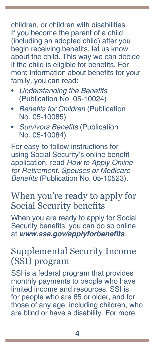<span id="page-7-0"></span>children, or children with disabilities. If you become the parent of a child (including an adopted child) after you begin receiving benefits, let us know about the child. This way we can decide if the child is eligible for benefits. For more information about benefits for your family, you can read:

- [Understanding the Benefits](https://www.ssa.gov/pubs/EN-05-10024.pdf)  [\(Publication No. 05-10024\)](https://www.ssa.gov/pubs/EN-05-10024.pdf)
- **[Benefits for Children](https://www.ssa.gov/pubs/EN-05-10085.pdf) (Publication** [No. 05-10085\)](https://www.ssa.gov/pubs/EN-05-10085.pdf)
- **[Survivors Benefits](https://www.ssa.gov/pubs/EN-05-10084.pdf) (Publication** [No. 05-10084\)](https://www.ssa.gov/pubs/EN-05-10084.pdf)

For easy-to-follow instructions for using Social Security's online benefit application, read [How to Apply Online](https://www.ssa.gov/pubs/EN-05-10523.pdf)  [for Retirement, Spouses or Medicare](https://www.ssa.gov/pubs/EN-05-10523.pdf)  Benefits [\(Publication No. 05-10523\)](https://www.ssa.gov/pubs/EN-05-10523.pdf).

# When you're ready to apply for Social Security benefits

When you are ready to apply for Social Security benefits, you can do so online at **[www.ssa.gov/applyforbenefits](https://www.ssa.gov/forms/apply-for-benefits.html)**.

# Supplemental Security Income (SSI) program

SSI is a federal program that provides monthly payments to people who have limited income and resources. SSI is for people who are 65 or older, and for those of any age, including children, who are blind or have a disability. For more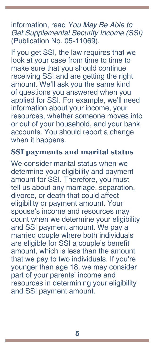information, read [You May Be Able to](https://www.ssa.gov/pubs/EN-05-11069.pdf)  [Get Supplemental Security Income \(SSI\)](https://www.ssa.gov/pubs/EN-05-11069.pdf) [\(Publication No. 05-11069\)](https://www.ssa.gov/pubs/EN-05-11069.pdf).

If you get SSI, the law requires that we look at your case from time to time to make sure that you should continue receiving SSI and are getting the right amount. We'll ask you the same kind of questions you answered when you applied for SSI. For example, we'll need information about your income, your resources, whether someone moves into or out of your household, and your bank accounts. You should report a change when it happens.

#### **SSI payments and marital status**

We consider marital status when we determine your eligibility and payment amount for SSI. Therefore, you must tell us about any marriage, separation, divorce, or death that could affect eligibility or payment amount. Your spouse's income and resources may count when we determine your eligibility and SSI payment amount. We pay a married couple where both individuals are eligible for SSI a couple's benefit amount, which is less than the amount that we pay to two individuals. If you're younger than age 18, we may consider part of your parents' income and resources in determining your eligibility and SSI payment amount.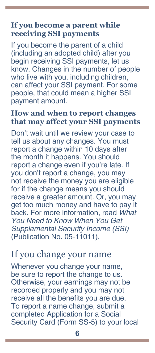#### <span id="page-9-0"></span>**If you become a parent while receiving SSI payments**

If you become the parent of a child (including an adopted child) after you begin receiving SSI payments, let us know. Changes in the number of people who live with you, including children, can affect your SSI payment. For some people, that could mean a higher SSI payment amount.

### **How and when to report changes that may affect your SSI payments**

Don't wait until we review your case to tell us about any changes. You must report a change within 10 days after the month it happens. You should report a change even if you're late. If you don't report a change, you may not receive the money you are eligible for if the change means you should receive a greater amount. Or, you may get too much money and have to pay it back. For more information, read What [You Need to Know When You Get](https://www.ssa.gov/pubs/EN-05-11011.pdf)  [Supplemental Security Income \(SSI\)](https://www.ssa.gov/pubs/EN-05-11011.pdf) [\(Publication No. 05-11011\)](https://www.ssa.gov/pubs/EN-05-11011.pdf).

# If you change your name

Whenever you change your name, be sure to report the change to us. Otherwise, your earnings may not be recorded properly and you may not receive all the benefits you are due. To report a name change, submit a completed [Application for a Social](https://www.ssa.gov/forms/ss-5.pdf)  [Security Card \(Form SS-5\)](https://www.ssa.gov/forms/ss-5.pdf) to your local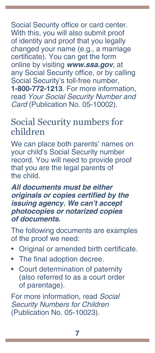<span id="page-10-0"></span>Social Security office or card center. With this, you will also submit proof of identity and proof that you legally changed your name (e.g., a marriage certificate). You can get the form online by visiting *[www.ssa.gov](https://www.ssa.gov/)*, at any Social Security office, or by calling Social Security's toll-free number, **1-800-772-1213**. For more information, read [Your Social Security Number and](https://www.ssa.gov/pubs/EN-05-10002.pdf)  Card [\(Publication No. 05-10002\)](https://www.ssa.gov/pubs/EN-05-10002.pdf).

# Social Security numbers for children

We can place both parents' names on your child's Social Security number record. You will need to provide proof that you are the legal parents of the child.

#### *All documents must be either*  **originals or copies certified by the**  *issuing agency. We can't accept photocopies or notarized copies of documents***.**

The following documents are examples of the proof we need:

- Original or amended birth certificate.
- The final adoption decree.
- Court determination of paternity (also referred to as a court order of parentage).

For more information, read Social [Security Numbers for Children](https://www.ssa.gov/pubs/EN-05-10023.pdf) [\(Publication No. 05-10023\).](https://www.ssa.gov/pubs/EN-05-10023.pdf)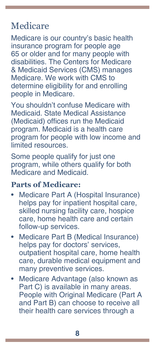# <span id="page-11-0"></span>Medicare

Medicare is our country's basic health insurance program for people age 65 or older and for many people with disabilities. The Centers for Medicare & Medicaid Services (CMS) manages Medicare. We work with CMS to determine eligibility for and enrolling people in Medicare.

You shouldn't confuse Medicare with Medicaid. State Medical Assistance (Medicaid) offices run the Medicaid program. Medicaid is a health care program for people with low income and limited resources.

Some people qualify for just one program, while others qualify for both Medicare and Medicaid.

#### **Parts of Medicare:**

- Medicare Part A (Hospital Insurance) helps pay for inpatient hospital care, skilled nursing facility care, hospice care, home health care and certain follow-up services.
- Medicare Part B (Medical Insurance) helps pay for doctors' services, outpatient hospital care, home health care, durable medical equipment and many preventive services.
- Medicare Advantage (also known as Part C) is available in many areas. People with Original Medicare (Part A and Part B) can choose to receive all their health care services through a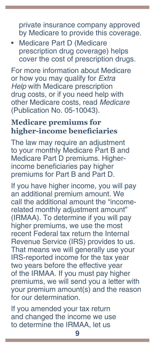private insurance company approved by Medicare to provide this coverage.

• Medicare Part D (Medicare prescription drug coverage) helps cover the cost of prescription drugs.

For more information about Medicare or how you may qualify for Extra **Help with Medicare prescription** drug costs, or if you need help with other [Medicare](https://www.ssa.gov/pubs/EN-05-10043.pdf) costs, read Medicare [\(Publication No. 05-10043\)](https://www.ssa.gov/pubs/EN-05-10043.pdf).

#### **Medicare premiums for higher-income beneficiaries**

The law may require an adjustment to your monthly Medicare Part B and Medicare Part D premiums. Higherincome beneficiaries pay higher premiums for Part B and Part D.

If you have higher income, you will pay an additional premium amount. We call the additional amount the "incomerelated monthly adjustment amount" (IRMAA). To determine if you will pay higher premiums, we use the most recent Federal tax return the Internal Revenue Service (IRS) provides to us. That means we will generally use your IRS-reported income for the tax year two years before the effective year of the IRMAA. If you must pay higher premiums, we will send you a letter with your premium amount(s) and the reason for our determination.

If you amended your tax return and changed the income we use to determine the IRMAA, let us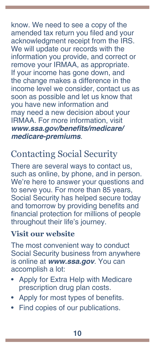<span id="page-13-0"></span>know. We need to see a copy of the amended tax return you filed and your acknowledgment receipt from the IRS. We will update our records with the information you provide, and correct or remove your IRMAA, as appropriate. If your income has gone down, and the change makes a difference in the income level we consider, contact us as soon as possible and let us know that you have new information and may need a new decision about your IRMAA. For more information, visit **[www.ssa.gov/benefits/medicare/](https://www.ssa.gov/benefits/medicare/medicare-premiums.html)** *[medicare-premiums](https://www.ssa.gov/benefits/medicare/medicare-premiums.html)*.

# Contacting Social Security

There are several ways to contact us, such as online, by phone, and in person. We're here to answer your questions and to serve you. For more than 85 years, Social Security has helped secure today and tomorrow by providing benefits and financial protection for millions of people throughout their life's journey.

### **Visit our website**

The most convenient way to conduct Social Security business from anywhere is online at *[www.ssa.gov](https://www.ssa.gov/)*. You can accomplish a lot:

- Apply for [Extra Help with Medicare](https://www.ssa.gov/i1020/)  [prescription drug plan costs.](https://www.ssa.gov/i1020/)
- Apply for most types of [benefits](https://www.ssa.gov/applyforbenefits).
- Find copies of our [publications](https://www.ssa.gov/pubs/).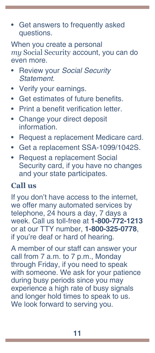• Get answers to [frequently asked](https://faq.ssa.gov/)  [questions](https://faq.ssa.gov/).

When you create a personal *my* Social Security account, you can do even more.

- Review your Social Security [Statement](https://www.ssa.gov/myaccount/statement.html).
- Verify [your earnings.](https://faq.ssa.gov/en-us/Topic/article/KA-01741)
- Get estimates of future benefits.
- Print a [benefit verification letter](https://www.ssa.gov/myaccount/proof-of-benefits.html).
- Change your [direct deposit](https://www.ssa.gov/myaccount/direct-deposit.html) information.
- Request a [replacement Medicare card](https://faq.ssa.gov/en-us/Topic/article/KA-01735).
- Get a [replacement SSA-1099/1042S.](https://www.ssa.gov/myaccount/replacement-SSA-1099.html)
- Request a [replacement Social](https://www.ssa.gov/myaccount/replacement-card.html)  [Security card,](https://www.ssa.gov/myaccount/replacement-card.html) if you have no changes and your state participates.

#### **Call us**

If you don't have access to the internet, we offer many automated services by telephone, 24 hours a day, 7 days a week. Call us toll-free at **1-800-772-1213**  or at our TTY number, **1-800-325-0778**, if you're deaf or hard of hearing.

A member of our staff can answer your call from 7 a.m. to 7 p.m., Monday through Friday, if you need to speak with someone. We ask for your patience during busy periods since you may experience a high rate of busy signals and longer hold times to speak to us. We look forward to serving you.